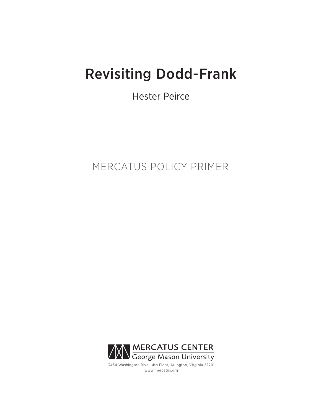# Revisiting Dodd-Frank

Hester Peirce

# MERCATUS POLICY PRIMER



3434 Washington Blvd., 4th Floor, Arlington, Virginia 22201 www.mercatus.org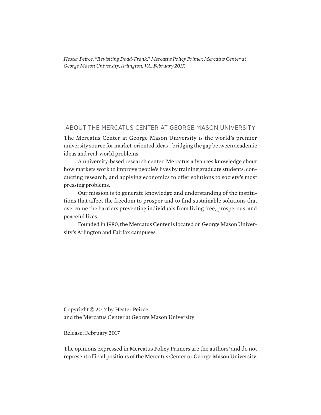*Hester Peirce, "Revisiting Dodd-Frank." Mercatus Policy Primer, Mercatus Center at George Mason University, Arlington, VA, February 2017.*

## ABOUT THE MERCATUS CENTER AT GEORGE MASON UNIVERSITY

The Mercatus Center at George Mason University is the world's premier university source for market-oriented ideas—bridging the gap between academic ideas and real-world problems.

A university-based research center, Mercatus advances knowledge about how markets work to improve people's lives by training graduate students, conducting research, and applying economics to offer solutions to society's most pressing problems.

Our mission is to generate knowledge and understanding of the institutions that affect the freedom to prosper and to find sustainable solutions that overcome the barriers preventing individuals from living free, prosperous, and peaceful lives.

Founded in 1980, the Mercatus Center is located on George Mason University's Arlington and Fairfax campuses.

Copyright © 2017 by Hester Peirce and the Mercatus Center at George Mason University

Release: February 2017

The opinions expressed in Mercatus Policy Primers are the authors' and do not represent official positions of the Mercatus Center or George Mason University.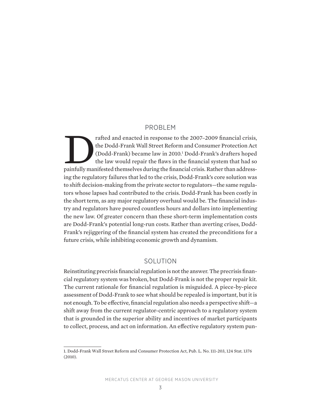#### PROBLEM

Factor and enacted in response to the 2007–2009 financial crisis, the Dodd-Frank Wall Street Reform and Consumer Protection Act (Dodd-Frank) became law in 2010.<sup>1</sup> Dodd-Frank's drafters hoped the law would repair the flaws the Dodd-Frank Wall Street Reform and Consumer Protection Act (Dodd-Frank) became law in 2010.1 Dodd-Frank's drafters hoped the law would repair the flaws in the financial system that had so ing the regulatory failures that led to the crisis, Dodd-Frank's core solution was to shift decision-making from the private sector to regulators—the same regulators whose lapses had contributed to the crisis. Dodd-Frank has been costly in the short term, as any major regulatory overhaul would be. The financial industry and regulators have poured countless hours and dollars into implementing the new law. Of greater concern than these short-term implementation costs are Dodd-Frank's potential long-run costs. Rather than averting crises, Dodd-Frank's rejiggering of the financial system has created the preconditions for a future crisis, while inhibiting economic growth and dynamism.

#### SOLUTION

Reinstituting precrisis financial regulation is not the answer. The precrisis financial regulatory system was broken, but Dodd-Frank is not the proper repair kit. The current rationale for financial regulation is misguided. A piece-by-piece assessment of Dodd-Frank to see what should be repealed is important, but it is not enough. To be effective, financial regulation also needs a perspective shift—a shift away from the current regulator-centric approach to a regulatory system that is grounded in the superior ability and incentives of market participants to collect, process, and act on information. An effective regulatory system pun-

MERCATUS CENTER AT GEORGE MASON UNIVERSITY

<sup>1.</sup> Dodd-Frank Wall Street Reform and Consumer Protection Act, Pub. L. No. 111-203, 124 Stat. 1376 (2010).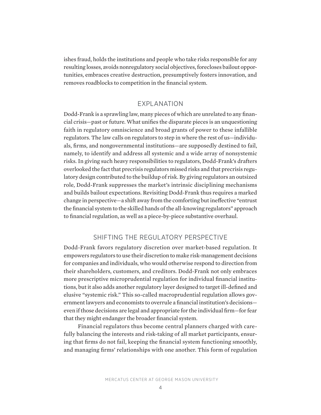ishes fraud, holds the institutions and people who take risks responsible for any resulting losses, avoids nonregulatory social objectives, forecloses bailout opportunities, embraces creative destruction, presumptively fosters innovation, and removes roadblocks to competition in the financial system.

# EXPLANATION

Dodd-Frank is a sprawling law, many pieces of which are unrelated to any financial crisis—past or future. What unifies the disparate pieces is an unquestioning faith in regulatory omniscience and broad grants of power to these infallible regulators. The law calls on regulators to step in where the rest of us—individuals, firms, and nongovernmental institutions—are supposedly destined to fail, namely, to identify and address all systemic and a wide array of nonsystemic risks. In giving such heavy responsibilities to regulators, Dodd-Frank's drafters overlooked the fact that precrisis regulators missed risks and that precrisis regulatory design contributed to the buildup of risk. By giving regulators an outsized role, Dodd-Frank suppresses the market's intrinsic disciplining mechanisms and builds bailout expectations. Revisiting Dodd-Frank thus requires a marked change in perspective—a shift away from the comforting but ineffective "entrust the financial system to the skilled hands of the all-knowing regulators" approach to financial regulation, as well as a piece-by-piece substantive overhaul.

# SHIFTING THE REGULATORY PERSPECTIVE

Dodd-Frank favors regulatory discretion over market-based regulation. It empowers regulators to use their discretion to make risk-management decisions for companies and individuals, who would otherwise respond to direction from their shareholders, customers, and creditors. Dodd-Frank not only embraces more prescriptive microprudential regulation for individual financial institutions, but it also adds another regulatory layer designed to target ill-defined and elusive "systemic risk." This so-called macroprudential regulation allows government lawyers and economists to overrule a financial institution's decisions even if those decisions are legal and appropriate for the individual firm—for fear that they might endanger the broader financial system.

Financial regulators thus become central planners charged with carefully balancing the interests and risk-taking of all market participants, ensuring that firms do not fail, keeping the financial system functioning smoothly, and managing firms' relationships with one another. This form of regulation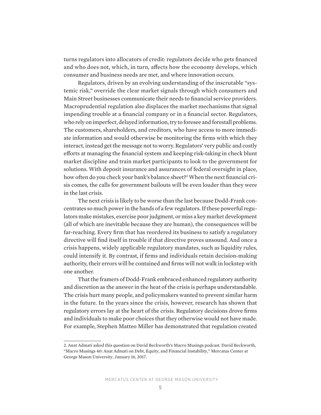turns regulators into allocators of credit: regulators decide who gets financed and who does not, which, in turn, affects how the economy develops, which consumer and business needs are met, and where innovation occurs.

Regulators, driven by an evolving understanding of the inscrutable "systemic risk," override the clear market signals through which consumers and Main Street businesses communicate their needs to financial service providers. Macroprudential regulation also displaces the market mechanisms that signal impending trouble at a financial company or in a financial sector. Regulators, who rely on imperfect, delayed information, try to foresee and forestall problems. The customers, shareholders, and creditors, who have access to more immediate information and would otherwise be monitoring the firms with which they interact, instead get the message not to worry. Regulators' very public and costly efforts at managing the financial system and keeping risk-taking in check blunt market discipline and train market participants to look to the government for solutions. With deposit insurance and assurances of federal oversight in place, how often do you check your bank's balance sheet?2 When the next financial crisis comes, the calls for government bailouts will be even louder than they were in the last crisis.

The next crisis is likely to be worse than the last because Dodd-Frank concentrates so much power in the hands of a few regulators. If these powerful regulators make mistakes, exercise poor judgment, or miss a key market development (all of which are inevitable because they are human), the consequences will be far-reaching. Every firm that has reordered its business to satisfy a regulatory directive will find itself in trouble if that directive proves unsound. And once a crisis happens, widely applicable regulatory mandates, such as liquidity rules, could intensify it. By contrast, if firms and individuals retain decision-making authority, their errors will be contained and firms will not walk in lockstep with one another.

That the framers of Dodd-Frank embraced enhanced regulatory authority and discretion as the answer in the heat of the crisis is perhaps understandable. The crisis hurt many people, and policymakers wanted to prevent similar harm in the future. In the years since the crisis, however, research has shown that regulatory errors lay at the heart of the crisis. Regulatory decisions drove firms and individuals to make poor choices that they otherwise would not have made. For example, Stephen Matteo Miller has demonstrated that regulation created

<sup>2.</sup> Anat Admati asked this question on David Beckworth's Macro Musings podcast. David Beckworth, "Macro Musings 40: Anat Admati on Debt, Equity, and Financial Instability," Mercatus Center at George Mason University, January 16, 2017.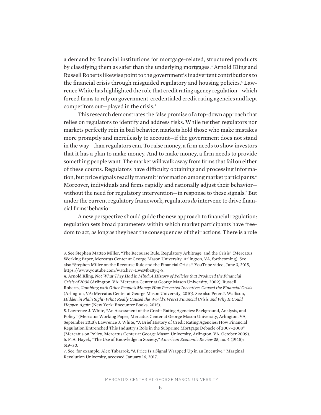a demand by financial institutions for mortgage-related, structured products by classifying them as safer than the underlying mortgages.<sup>3</sup> Arnold Kling and Russell Roberts likewise point to the government's inadvertent contributions to the financial crisis through misguided regulatory and housing policies.4 Lawrence White has highlighted the role that credit rating agency regulation—which forced firms to rely on government-credentialed credit rating agencies and kept competitors out—played in the crisis.5

This research demonstrates the false promise of a top-down approach that relies on regulators to identify and address risks. While neither regulators nor markets perfectly rein in bad behavior, markets hold those who make mistakes more promptly and mercilessly to account—if the government does not stand in the way—than regulators can. To raise money, a firm needs to show investors that it has a plan to make money. And to make money, a firm needs to provide something people want. The market will walk away from firms that fail on either of these counts. Regulators have difficulty obtaining and processing information, but price signals readily transmit information among market participants.<sup>6</sup> Moreover, individuals and firms rapidly and rationally adjust their behavior without the need for regulatory intervention—in response to these signals.<sup>7</sup> But under the current regulatory framework, regulators *do* intervene to drive financial firms' behavior.

A new perspective should guide the new approach to financial regulation: regulation sets broad parameters within which market participants have freedom to act, as long as they bear the consequences of their actions. There is a role

<sup>3.</sup> See Stephen Matteo Miller, "The Recourse Rule, Regulatory Arbitrage, and the Crisis" (Mercatus Working Paper, Mercatus Center at George Mason University, Arlington, VA, forthcoming). See also "Stephen Miller on the Recourse Rule and the Financial Crisis," YouTube video, June 3, 2015, https://www.youtube.com/watch?v=LwsMbz8yQ-8.

<sup>4.</sup> Arnold Kling, *Not What They Had in Mind: A History of Policies that Produced the Financial Crisis of 2008* (Arlington, VA: Mercatus Center at George Mason University, 2009); Russell Roberts, *Gambling with Other People's Money: How Perverted Incentives Caused the Financial Crisis* (Arlington, VA: Mercatus Center at George Mason University, 2010). See also Peter J. Wallison, *Hidden in Plain Sight: What Really Caused the World's Worst Financial Crisis and Why It Could Happen Again* (New York: Encounter Books, 2015).

<sup>5.</sup> Lawrence J. White, "An Assessment of the Credit Rating Agencies: Background, Analysis, and Policy" (Mercatus Working Paper, Mercatus Center at George Mason University, Arlington, VA, September 2013); Lawrence J. White, "A Brief History of Credit Rating Agencies: How Financial Regulation Entrenched This Industry's Role in the Subprime Mortgage Debacle of 2007–2008" (Mercatus on Policy, Mercatus Center at George Mason University, Arlington, VA, October 2009). 6. F. A. Hayek, "The Use of Knowledge in Society," *American Economic Review* 35, no. 4 (1945): 519–30.

<sup>7.</sup> See, for example, Alex Tabarrok, "A Price Is a Signal Wrapped Up in an Incentive," Marginal Revolution University, accessed January 16, 2017.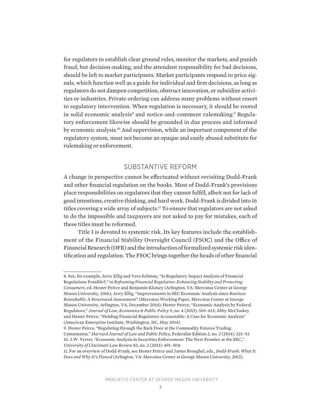for regulators to establish clear ground rules, monitor the markets, and punish fraud, but decision-making, and the attendant responsibility for bad decisions, should be left to market participants. Market participants respond to price signals, which function well as a guide for individual and firm decisions, as long as regulators do not dampen competition, obstruct innovation, or subsidize activities or industries. Private ordering can address many problems without resort to regulatory intervention. When regulation is necessary, it should be rooted in solid economic analysis<sup>8</sup> and notice-and-comment rulemaking.<sup>9</sup> Regulatory enforcement likewise should be grounded in due process and informed by economic analysis.10 And supervision, while an important component of the regulatory system, must not become an opaque and easily abused substitute for rulemaking or enforcement.

# SUBSTANTIVE REFORM

A change in perspective cannot be effectuated without revisiting Dodd-Frank and other financial regulation on the books. Most of Dodd-Frank's provisions place responsibilities on regulators that they cannot fulfill, albeit not for lack of good intentions, creative thinking, and hard work. Dodd-Frank is divided into 16 titles covering a wide array of subjects.11 To ensure that regulators are not asked to do the impossible and taxpayers are not asked to pay for mistakes, each of these titles must be reformed.

Title I is devoted to systemic risk. Its key features include the establishment of the Financial Stability Oversight Council (FSOC) and the Office of Financial Research (OFR) and the introduction of formalized systemic risk identification and regulation. The FSOC brings together the heads of other financial

<sup>8.</sup> See, for example, Jerry Ellig and Vera Soliman, "Is Regulatory Impact Analysis of Financial Regulations Possible?," in *Reframing Financial Regulation: Enhancing Stability and Protecting Consumers*, ed. Hester Peirce and Benjamin Klutsey (Arlington, VA: Mercatus Center at George Mason University, 2016); Jerry Ellig, "Improvements in SEC Economic Analysis since *Business Roundtable*: A Structured Assessment" (Mercatus Working Paper, Mercatus Center at George Mason University, Arlington, VA, December 2016); Hester Peirce, "Economic Analysis by Federal Regulators," *Journal of Law, Economics & Public Policy* 9, no. 4 (2013): 569–613; Abby McCloskey and Hester Peirce, "Holding Financial Regulators Accountable: A Case for Economic Analysis" (American Enterprise Institute, Washington, DC, May 2014).

<sup>9.</sup> Hester Peirce, "Regulating through the Back Door at the Commodity Futures Trading Commission," *Harvard Journal of Law and Public Policy*, Federalist Edition 2, no. 2 (2014): 321–93. 10. J.W. Verret, "Economic Analysis in Securities Enforcement: The Next Frontier at the SEC," *University of Cincinnati Law Review* 82, no. 2 (2013): 491–504.

<sup>11.</sup> For an overview of Dodd-Frank, see Hester Peirce and James Broughel, eds., *Dodd-Frank: What It Does and Why It's Flawed* (Arlington, VA: Mercatus Center at George Mason University, 2012).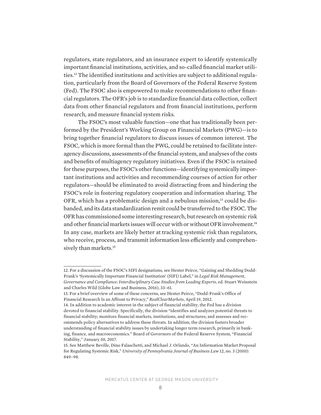regulators, state regulators, and an insurance expert to identify systemically important financial institutions, activities, and so-called financial market utilities.12 The identified institutions and activities are subject to additional regulation, particularly from the Board of Governors of the Federal Reserve System (Fed). The FSOC also is empowered to make recommendations to other financial regulators. The OFR's job is to standardize financial data collection, collect data from other financial regulators and from financial institutions, perform research, and measure financial system risks.

The FSOC's most valuable function—one that has traditionally been performed by the President's Working Group on Financial Markets (PWG)—is to bring together financial regulators to discuss issues of common interest. The FSOC, which is more formal than the PWG, could be retained to facilitate interagency discussions, assessments of the financial system, and analyses of the costs and benefits of multiagency regulatory initiatives. Even if the FSOC is retained for these purposes, the FSOC's other functions—identifying systemically important institutions and activities and recommending courses of action for other regulators—should be eliminated to avoid distracting from and hindering the FSOC's role in fostering regulatory cooperation and information sharing. The OFR, which has a problematic design and a nebulous mission,<sup>13</sup> could be disbanded, and its data standardization remit could be transferred to the FSOC. The OFR has commissioned some interesting research, but research on systemic risk and other financial markets issues will occur with or without OFR involvement.<sup>14</sup> In any case, markets are likely better at tracking systemic risk than regulators, who receive, process, and transmit information less efficiently and comprehensively than markets.<sup>15</sup>

<sup>12.</sup> For a discussion of the FSOC's SIFI designations, see Hester Peirce, "Gaining and Shedding Dodd-Frank's 'Systemically Important Financial Institution' (SIFI) Label," in *Legal Risk Management, Governance and Compliance: Interdisciplinary Case Studies from Leading Experts*, ed. Stuart Weinstein and Charles Wild (Globe Law and Business, 2016), 33–61.

<sup>13.</sup> For a brief overview of some of these concerns, see Hester Peirce, "Dodd-Frank's Office of Financial Research Is an Affront to Privacy," *RealClearMarkets*, April 19, 2012.

<sup>14.</sup> In addition to academic interest in the subject of financial stability, the Fed has a division devoted to financial stability. Specifically, the division "identifies and analyzes potential threats to financial stability; monitors financial markets, institutions, and structures; and assesses and recommends policy alternatives to address these threats. In addition, the division fosters broader understanding of financial stability issues by undertaking longer term research, primarily in banking, finance, and macroeconomics." Board of Governors of the Federal Reserve System, "Financial Stability," January 30, 2017.

<sup>15.</sup> See Matthew Beville, Dino Falaschetti, and Michael J. Orlando, "An Information Market Proposal for Regulating Systemic Risk," *University of Pennsylvania Journal of Business Law* 12, no. 3 (2010): 849–98.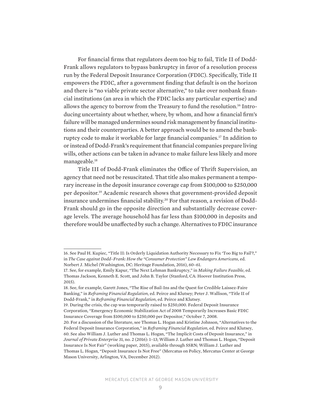For financial firms that regulators deem too big to fail, Title II of Dodd-Frank allows regulators to bypass bankruptcy in favor of a resolution process run by the Federal Deposit Insurance Corporation (FDIC). Specifically, Title II empowers the FDIC, after a government finding that default is on the horizon and there is "no viable private sector alternative," to take over nonbank financial institutions (an area in which the FDIC lacks any particular expertise) and allows the agency to borrow from the Treasury to fund the resolution.<sup>16</sup> Introducing uncertainty about whether, where, by whom, and how a financial firm's failure will be managed undermines sound risk management by financial institutions and their counterparties. A better approach would be to amend the bankruptcy code to make it workable for large financial companies.17 In addition to or instead of Dodd-Frank's requirement that financial companies prepare living wills, other actions can be taken in advance to make failure less likely and more manageable.18

Title III of Dodd-Frank eliminates the Office of Thrift Supervision, an agency that need not be resuscitated. That title also makes permanent a temporary increase in the deposit insurance coverage cap from \$100,000 to \$250,000 per depositor.19 Academic research shows that government-provided deposit insurance undermines financial stability.<sup>20</sup> For that reason, a revision of Dodd-Frank should go in the opposite direction and substantially decrease coverage levels. The average household has far less than \$100,000 in deposits and therefore would be unaffected by such a change. Alternatives to FDIC insurance

<sup>16.</sup> See Paul H. Kupiec, "Title II: Is Orderly Liquidation Authority Necessary to Fix 'Too Big to Fail'?," in *The Case against Dodd–Frank: How the "Consumer Protection" Law Endangers Americans*, ed. Norbert J. Michel (Washington, DC: Heritage Foundation, 2016), 60–61.

<sup>17.</sup> See, for example, Emily Kapur, "The Next Lehman Bankruptcy," in *Making Failure Feasible*, ed. Thomas Jackson, Kenneth E. Scott, and John B. Taylor (Stanford, CA: Hoover Institution Press, 2015).

<sup>18.</sup> See, for example, Garett Jones, "The Rise of Bail-Ins and the Quest for Credible Laissez-Faire Banking," in *Reframing Financial Regulation*, ed. Peirce and Klutsey; Peter J. Wallison, "Title II of Dodd-Frank," in *Reframing Financial Regulation*, ed. Peirce and Klutsey.

<sup>19.</sup> During the crisis, the cap was temporarily raised to \$250,000. Federal Deposit Insurance Corporation, "Emergency Economic Stabilization Act of 2008 Temporarily Increases Basic FDIC Insurance Coverage from \$100,000 to \$250,000 per Depositor," October 7, 2008.

<sup>20.</sup> For a discussion of the literature, see Thomas L. Hogan and Kristine Johnson, "Alternatives to the Federal Deposit Insurance Corporation," in *Reframing Financial Regulation*, ed. Peirce and Klutsey, 60. See also William J. Luther and Thomas L. Hogan, "The Implicit Costs of Deposit Insurance," in *Journal of Private Enterprise* 31, no. 2 (2016): 1–13; William J. Luther and Thomas L. Hogan, "Deposit Insurance Is Not Fair" (working paper, 2015), available through SSRN; William J. Luther and Thomas L. Hogan, "Deposit Insurance Is Not Free" (Mercatus on Policy, Mercatus Center at George Mason University, Arlington, VA, December 2012).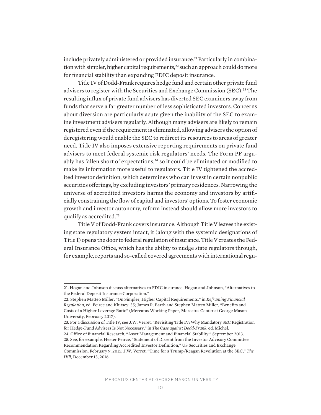include privately administered or provided insurance.<sup>21</sup> Particularly in combination with simpler, higher capital requirements,<sup>22</sup> such an approach could do more for financial stability than expanding FDIC deposit insurance.

Title IV of Dodd-Frank requires hedge fund and certain other private fund advisers to register with the Securities and Exchange Commission (SEC).<sup>23</sup> The resulting influx of private fund advisers has diverted SEC examiners away from funds that serve a far greater number of less sophisticated investors. Concerns about diversion are particularly acute given the inability of the SEC to examine investment advisers regularly. Although many advisers are likely to remain registered even if the requirement is eliminated, allowing advisers the option of deregistering would enable the SEC to redirect its resources to areas of greater need. Title IV also imposes extensive reporting requirements on private fund advisers to meet federal systemic risk regulators' needs. The Form PF arguably has fallen short of expectations,<sup>24</sup> so it could be eliminated or modified to make its information more useful to regulators. Title IV tightened the accredited investor definition, which determines who can invest in certain nonpublic securities offerings, by excluding investors' primary residences. Narrowing the universe of accredited investors harms the economy and investors by artificially constraining the flow of capital and investors' options. To foster economic growth and investor autonomy, reform instead should allow more investors to qualify as accredited.25

Title V of Dodd-Frank covers insurance. Although Title V leaves the existing state regulatory system intact, it (along with the systemic designations of Title I) opens the door to federal regulation of insurance. Title V creates the Federal Insurance Office, which has the ability to nudge state regulators through, for example, reports and so-called covered agreements with international regu-

<sup>21.</sup> Hogan and Johnson discuss alternatives to FDIC insurance. Hogan and Johnson, "Alternatives to the Federal Deposit Insurance Corporation."

<sup>22.</sup> Stephen Matteo Miller, "On Simpler, Higher Capital Requirements," in *Reframing Financial Regulation*, ed. Peirce and Klutsey, 35; James R. Barth and Stephen Matteo Miller, "Benefits and Costs of a Higher Leverage Ratio" (Mercatus Working Paper, Mercatus Center at George Mason University, February 2017).

<sup>23.</sup> For a discussion of Title IV, see J.W. Verret, "Revisiting Title IV: Why Mandatory SEC Registration for Hedge-Fund Advisers Is Not Necessary," in *The Case against Dodd-Frank*, ed. Michel.

<sup>24.</sup> Office of Financial Research, "Asset Management and Financial Stability," September 2013. 25. See, for example, Hester Peirce, "Statement of Dissent from the Investor Advisory Committee Recommendation Regarding Accredited Investor Definition," US Securities and Exchange Commission, February 9, 2015; J.W. Verret, "Time for a Trump/Reagan Revolution at the SEC," *The Hill*, December 13, 2016.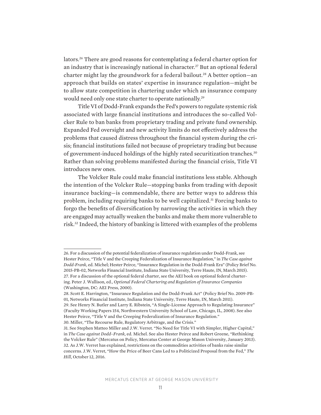lators.26 There are good reasons for contemplating a federal charter option for an industry that is increasingly national in character.<sup>27</sup> But an optional federal charter might lay the groundwork for a federal bailout.<sup>28</sup> A better option-an approach that builds on states' expertise in insurance regulation—might be to allow state competition in chartering under which an insurance company would need only one state charter to operate nationally.29

Title VI of Dodd-Frank expands the Fed's powers to regulate systemic risk associated with large financial institutions and introduces the so-called Volcker Rule to ban banks from proprietary trading and private fund ownership. Expanded Fed oversight and new activity limits do not effectively address the problems that caused distress throughout the financial system during the crisis; financial institutions failed not because of proprietary trading but because of government-induced holdings of the highly rated securitization tranches.<sup>30</sup> Rather than solving problems manifested during the financial crisis, Title VI introduces new ones.

The Volcker Rule could make financial institutions less stable. Although the intention of the Volcker Rule—stopping banks from trading with deposit insurance backing—is commendable, there are better ways to address this problem, including requiring banks to be well capitalized.<sup>31</sup> Forcing banks to forgo the benefits of diversification by narrowing the activities in which they are engaged may actually weaken the banks and make them more vulnerable to risk.32 Indeed, the history of banking is littered with examples of the problems

<sup>26.</sup> For a discussion of the potential federalization of insurance regulation under Dodd-Frank, see Hester Peirce, "Title V and the Creeping Federalization of Insurance Regulation," in *The Case against Dodd-Frank*, ed. Michel; Hester Peirce, "Insurance Regulation in the Dodd-Frank Era" (Policy Brief No. 2015-PB-02, Networks Financial Institute, Indiana State University, Terre Haute, IN, March 2015). 27. For a discussion of the optional federal charter, see the AEI book on optional federal chartering. Peter J. Wallison, ed., *Optional Federal Chartering and Regulation of Insurance Companies* (Washington, DC: AEI Press, 2000).

<sup>28.</sup> Scott E. Harrington, "Insurance Regulation and the Dodd-Frank Act" (Policy Brief No. 2009-PB-01, Networks Financial Institute, Indiana State University, Terre Haute, IN, March 2011).

<sup>29.</sup> See Henry N. Butler and Larry E. Ribstein, "A Single-License Approach to Regulating Insurance" (Faculty Working Papers 154, Northwestern University School of Law, Chicago, IL, 2008). See also Hester Peirce, "Title V and the Creeping Federalization of Insurance Regulation."

<sup>30.</sup> Miller, "The Recourse Rule, Regulatory Arbitrage, and the Crisis."

<sup>31.</sup> See Stephen Matteo Miller and J.W. Verret. "No Need for Title VI with Simpler, Higher Capital," in *The Case against Dodd–Frank*, ed. Michel. See also Hester Peirce and Robert Greene, "Rethinking the Volcker Rule" (Mercatus on Policy, Mercatus Center at George Mason University, January 2013). 32. As J.W. Verret has explained, restrictions on the commodities activities of banks raise similar concerns. J.W. Verret, "How the Price of Beer Cans Led to a Politicized Proposal from the Fed," *The Hill*, October 12, 2016.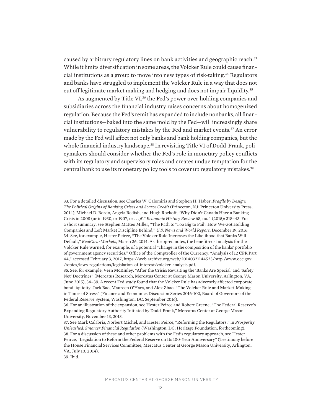caused by arbitrary regulatory lines on bank activities and geographic reach.33 While it limits diversification in some areas, the Volcker Rule could cause financial institutions as a group to move into new types of risk-taking.34 Regulators and banks have struggled to implement the Volcker Rule in a way that does not cut off legitimate market making and hedging and does not impair liquidity.35

As augmented by Title VI,<sup>36</sup> the Fed's power over holding companies and subsidiaries across the financial industry raises concerns about homogenized regulation. Because the Fed's remit has expanded to include nonbanks, all financial institutions—baked into the same mold by the Fed—will increasingly share vulnerability to regulatory mistakes by the Fed and market events.<sup>37</sup> An error made by the Fed will affect not only banks and bank holding companies, but the whole financial industry landscape.<sup>38</sup> In revisiting Title VI of Dodd-Frank, policymakers should consider whether the Fed's role in monetary policy conflicts with its regulatory and supervisory roles and creates undue temptation for the central bank to use its monetary policy tools to cover up regulatory mistakes.<sup>39</sup>

<sup>33.</sup> For a detailed discussion, see Charles W. Calomiris and Stephen H. Haber, *Fragile by Design: The Political Origins of Banking Crises and Scarce Credit* (Princeton, NJ: Princeton University Press, 2014); Michael D. Bordo, Angela Redish, and Hugh Rockoff, "Why Didn't Canada Have a Banking Crisis in 2008 (or in 1930, or 1907, or . . .)?," *Economic History Review* 68, no. 1 (2015): 218–43. For a short summary, see Stephen Matteo Miller, "The Path to 'Too Big to Fail': How We Got Holding Companies and Left Market Discipline Behind," *U.S. News and World Report*, December 19, 2016. 34. See, for example, Hester Peirce, "The Volcker Rule Increases the Likelihood that Banks Will Default," *RealClearMarkets*, March 26, 2014. As the op-ed notes, the benefit-cost analysis for the Volcker Rule warned, for example, of a potential "change in the composition of the banks' portfolio of government agency securities." Office of the Comptroller of the Currency, "Analysis of 12 CFR Part 44," accessed February 3, 2017, https://web.archive.org/web/20140321144523/http:/www.occ.gov /topics/laws-regulations/legislation-of-interest/volcker-analysis.pdf.

<sup>35.</sup> See, for example, Vern McKinley, "After the Crisis: Revisiting the 'Banks Are Special' and 'Safety Net' Doctrines" (Mercatus Research, Mercatus Center at George Mason University, Arlington, VA, June 2015), 34–39. A recent Fed study found that the Volcker Rule has adversely affected corporate bond liquidity. Jack Bao, Maureen O'Hara, and Alex Zhao, "The Volcker Rule and Market-Making in Times of Stress" (Finance and Economics Discussion Series 2016-102, Board of Governors of the Federal Reserve System, Washington, DC, September 2016).

<sup>36.</sup> For an illustration of the expansion, see Hester Peirce and Robert Greene, "The Federal Reserve's Expanding Regulatory Authority Initiated by Dodd-Frank," Mercatus Center at George Mason University, November 13, 2013.

<sup>37.</sup> See Mark Calabria, Norbert Michel, and Hester Peirce, "Reforming the Regulators," in *Prosperity Unleashed: Smarter Financial Regulation* (Washington, DC: Heritage Foundation, forthcoming). 38. For a discussion of these and other problems with the Fed's regulatory approach, see Hester Peirce, "Legislation to Reform the Federal Reserve on Its 100-Year Anniversary" (Testimony before the House Financial Services Committee, Mercatus Center at George Mason University, Arlington, VA, July 10, 2014).

<sup>39.</sup> Ibid.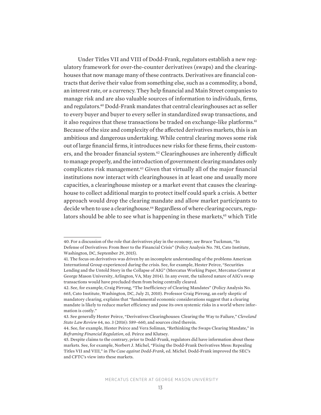Under Titles VII and VIII of Dodd-Frank, regulators establish a new regulatory framework for over-the-counter derivatives (swaps) and the clearinghouses that now manage many of these contracts. Derivatives are financial contracts that derive their value from something else, such as a commodity, a bond, an interest rate, or a currency. They help financial and Main Street companies to manage risk and are also valuable sources of information to individuals, firms, and regulators.40 Dodd-Frank mandates that central clearinghouses act as seller to every buyer and buyer to every seller in standardized swap transactions, and it also requires that these transactions be traded on exchange-like platforms.<sup>41</sup> Because of the size and complexity of the affected derivatives markets, this is an ambitious and dangerous undertaking. While central clearing moves some risk out of large financial firms, it introduces new risks for these firms, their customers, and the broader financial system.<sup>42</sup> Clearinghouses are inherently difficult to manage properly, and the introduction of government clearing mandates only complicates risk management.<sup>43</sup> Given that virtually all of the major financial institutions now interact with clearinghouses in at least one and usually more capacities, a clearinghouse misstep or a market event that causes the clearinghouse to collect additional margin to protect itself could spark a crisis. A better approach would drop the clearing mandate and allow market participants to decide when to use a clearinghouse.44 Regardless of where clearing occurs, regulators should be able to see what is happening in these markets,<sup>45</sup> which Title

<sup>40.</sup> For a discussion of the role that derivatives play in the economy, see Bruce Tuckman, "In Defense of Derivatives: From Beer to the Financial Crisis" (Policy Analysis No. 781, Cato Institute, Washington, DC, September 29, 2015).

<sup>41.</sup> The focus on derivatives was driven by an incomplete understanding of the problems American International Group experienced during the crisis. See, for example, Hester Peirce, "Securities Lending and the Untold Story in the Collapse of AIG" (Mercatus Working Paper, Mercatus Center at George Mason University, Arlington, VA, May 2014). In any event, the tailored nature of AIG's swap transactions would have precluded them from being centrally cleared.

<sup>42.</sup> See, for example, Craig Pirrong, "The Inefficiency of Clearing Mandates" (Policy Analysis No. 665, Cato Institute, Washington, DC, July 21, 2010). Professor Craig Pirrong, an early skeptic of mandatory clearing, explains that "fundamental economic considerations suggest that a clearing mandate is likely to reduce market efficiency and pose its own systemic risks in a world where information is costly."

<sup>43.</sup> See generally Hester Peirce, "Derivatives Clearinghouses: Clearing the Way to Failure," *Cleveland State Law Review* 64, no. 3 (2016): 589–660, and sources cited therein.

<sup>44.</sup> See, for example, Hester Peirce and Vera Soliman, "Rethinking the Swaps Clearing Mandate," in *Reframing Financial Regulation*, ed. Peirce and Klutsey.

<sup>45.</sup> Despite claims to the contrary, prior to Dodd-Frank, regulators did have information about these markets. See, for example, Norbert J. Michel, "Fixing the Dodd-Frank Derivatives Mess: Repealing Titles VII and VIII," in *The Case against Dodd-Frank*, ed. Michel. Dodd-Frank improved the SEC's and CFTC's view into these markets.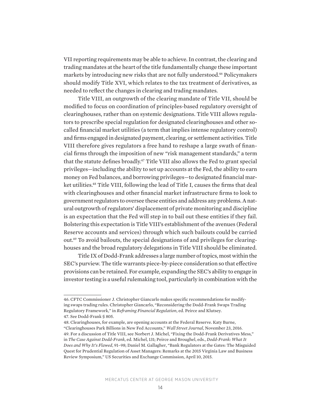VII reporting requirements may be able to achieve. In contrast, the clearing and trading mandates at the heart of the title fundamentally change these important markets by introducing new risks that are not fully understood.46 Policymakers should modify Title XVI, which relates to the tax treatment of derivatives, as needed to reflect the changes in clearing and trading mandates.

Title VIII, an outgrowth of the clearing mandate of Title VII, should be modified to focus on coordination of principles-based regulatory oversight of clearinghouses, rather than on systemic designations. Title VIII allows regulators to prescribe special regulation for designated clearinghouses and other socalled financial market utilities (a term that implies intense regulatory control) and firms engaged in designated payment, clearing, or settlement activities. Title VIII therefore gives regulators a free hand to reshape a large swath of financial firms through the imposition of new "risk management standards," a term that the statute defines broadly.<sup>47</sup> Title VIII also allows the Fed to grant special privileges—including the ability to set up accounts at the Fed, the ability to earn money on Fed balances, and borrowing privileges—to designated financial market utilities.48 Title VIII, following the lead of Title I, causes the firms that deal with clearinghouses and other financial market infrastructure firms to look to government regulators to oversee these entities and address any problems. A natural outgrowth of regulators' displacement of private monitoring and discipline is an expectation that the Fed will step in to bail out these entities if they fail. Bolstering this expectation is Title VIII's establishment of the avenues (Federal Reserve accounts and services) through which such bailouts could be carried out.49 To avoid bailouts, the special designations of and privileges for clearinghouses and the broad regulatory delegations in Title VIII should be eliminated.

Title IX of Dodd-Frank addresses a large number of topics, most within the SEC's purview. The title warrants piece-by-piece consideration so that effective provisions can be retained. For example, expanding the SEC's ability to engage in investor testing is a useful rulemaking tool, particularly in combination with the

<sup>46.</sup> CFTC Commissioner J. Christopher Giancarlo makes specific recommendations for modifying swaps trading rules. Christopher Giancarlo, "Reconsidering the Dodd-Frank Swaps Trading Regulatory Framework," in *Reframing Financial Regulation*, ed. Peirce and Klutsey. 47. See Dodd-Frank § 805.

<sup>48.</sup> Clearinghouses, for example, are opening accounts at the Federal Reserve. Katy Burne, "Clearinghouses Park Billions in New Fed Accounts," *Wall Street Journal*, November 23, 2016. 49. For a discussion of Title VIII, see Norbert J. Michel, "Fixing the Dodd-Frank Derivatives Mess," in *The Case Against Dodd-Frank*, ed. Michel, 131; Peirce and Broughel, eds., *Dodd-Frank: What It Does and Why It's Flawed*, 91–98; Daniel M. Gallagher, "Bank Regulators at the Gates: The Misguided Quest for Prudential Regulation of Asset Managers: Remarks at the 2015 Virginia Law and Business Review Symposium," US Securities and Exchange Commission, April 10, 2015.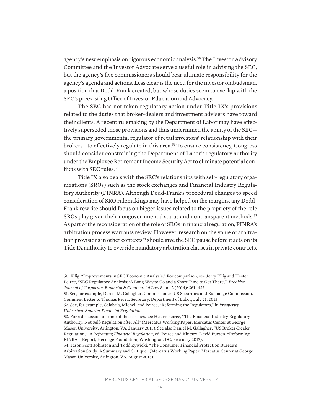agency's new emphasis on rigorous economic analysis.<sup>50</sup> The Investor Advisory Committee and the Investor Advocate serve a useful role in advising the SEC, but the agency's five commissioners should bear ultimate responsibility for the agency's agenda and actions. Less clear is the need for the investor ombudsman, a position that Dodd-Frank created, but whose duties seem to overlap with the SEC's preexisting Office of Investor Education and Advocacy.

The SEC has not taken regulatory action under Title IX's provisions related to the duties that broker-dealers and investment advisers have toward their clients. A recent rulemaking by the Department of Labor may have effectively superseded those provisions and thus undermined the ability of the SEC the primary governmental regulator of retail investors' relationship with their brokers—to effectively regulate in this area.51 To ensure consistency, Congress should consider constraining the Department of Labor's regulatory authority under the Employee Retirement Income Security Act to eliminate potential conflicts with SEC rules.<sup>52</sup>

Title IX also deals with the SEC's relationships with self-regulatory organizations (SROs) such as the stock exchanges and Financial Industry Regulatory Authority (FINRA). Although Dodd-Frank's procedural changes to speed consideration of SRO rulemakings may have helped on the margins, any Dodd-Frank rewrite should focus on bigger issues related to the propriety of the role SROs play given their nongovernmental status and nontransparent methods.<sup>53</sup> As part of the reconsideration of the role of SROs in financial regulation, FINRA's arbitration process warrants review. However, research on the value of arbitration provisions in other contexts<sup>54</sup> should give the SEC pause before it acts on its Title IX authority to override mandatory arbitration clauses in private contracts.

<sup>50.</sup> Ellig, "Improvements in SEC Economic Analysis." For comparison, see Jerry Ellig and Hester Peirce, "SEC Regulatory Analysis: 'A Long Way to Go and a Short Time to Get There,'" *Brooklyn Journal of Corporate, Financial & Commercial Law* 8, no. 2 (2014): 361–437.

<sup>51.</sup> See, for example, Daniel M. Gallagher, Commissioner, US Securities and Exchange Commission, Comment Letter to Thomas Perez, Secretary, Department of Labor, July 21, 2015.

<sup>52.</sup> See, for example, Calabria, Michel, and Peirce, "Reforming the Regulators," in *Prosperity Unleashed: Smarter Financial Regulation*.

<sup>53.</sup> For a discussion of some of these issues, see Hester Peirce, "The Financial Industry Regulatory Authority: Not Self-Regulation after All" (Mercatus Working Paper, Mercatus Center at George Mason University, Arlington, VA, January 2015). See also Daniel M. Gallagher, "US Broker-Dealer Regulation," in *Reframing Financial Regulation*, ed. Peirce and Klutsey; David Burton, "Reforming FINRA" (Report, Heritage Foundation, Washington, DC, February 2017).

<sup>54.</sup> Jason Scott Johnston and Todd Zywicki, "The Consumer Financial Protection Bureau's Arbitration Study: A Summary and Critique" (Mercatus Working Paper, Mercatus Center at George Mason University, Arlington, VA, August 2015).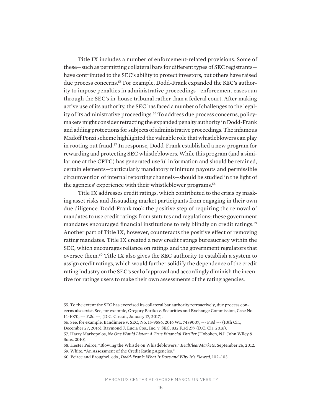Title IX includes a number of enforcement-related provisions. Some of these—such as permitting collateral bars for different types of SEC registrants have contributed to the SEC's ability to protect investors, but others have raised due process concerns.<sup>55</sup> For example, Dodd-Frank expanded the SEC's authority to impose penalties in administrative proceedings—enforcement cases run through the SEC's in-house tribunal rather than a federal court. After making active use of its authority, the SEC has faced a number of challenges to the legality of its administrative proceedings.<sup>56</sup> To address due process concerns, policymakers might consider retracting the expanded penalty authority in Dodd-Frank and adding protections for subjects of administrative proceedings. The infamous Madoff Ponzi scheme highlighted the valuable role that whistleblowers can play in rooting out fraud.57 In response, Dodd-Frank established a new program for rewarding and protecting SEC whistleblowers. While this program (and a similar one at the CFTC) has generated useful information and should be retained, certain elements—particularly mandatory minimum payouts and permissible circumvention of internal reporting channels—should be studied in the light of the agencies' experience with their whistleblower programs.<sup>58</sup>

Title IX addresses credit ratings, which contributed to the crisis by masking asset risks and dissuading market participants from engaging in their own due diligence. Dodd-Frank took the positive step of requiring the removal of mandates to use credit ratings from statutes and regulations; these government mandates encouraged financial institutions to rely blindly on credit ratings.<sup>59</sup> Another part of Title IX, however, counteracts the positive effect of removing rating mandates. Title IX created a new credit ratings bureaucracy within the SEC, which encourages reliance on ratings and the government regulators that oversee them.60 Title IX also gives the SEC authority to establish a system to assign credit ratings, which would further solidify the dependence of the credit rating industry on the SEC's seal of approval and accordingly diminish the incentive for ratings users to make their own assessments of the rating agencies.

<sup>55.</sup> To the extent the SEC has exercised its collateral bar authority retroactively, due process concerns also exist. See, for example, Gregory Bartko v. Securities and Exchange Commission, Case No. 14-1070, --- F.3d ---, (D.C. Circuit, January 17, 2017).

<sup>56.</sup> See, for example, Bandimere v. SEC, No. 15-9586, 2016 WL 7439007, --- F.3d --- (10th Cir., December 27, 2016); Raymond J. Lucia Cos., Inc. v. SEC, 832 F.3d 277 (D.C. Cir. 2016).

<sup>57.</sup> Harry Markopolos, *No One Would Listen: A True Financial Thriller* (Hoboken, NJ: John Wiley & Sons, 2010).

<sup>58.</sup> Hester Peirce, "Blowing the Whistle on Whistleblowers," *RealClearMarkets*, September 26, 2012. 59. White, "An Assessment of the Credit Rating Agencies."

<sup>60.</sup> Peirce and Broughel, eds., *Dodd-Frank: What It Does and Why It's Flawed*, 102–103.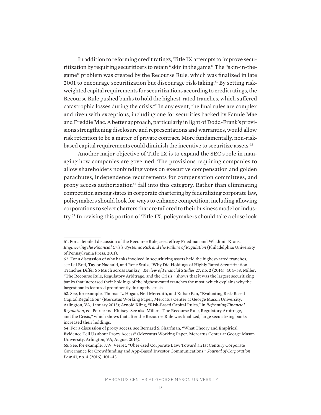In addition to reforming credit ratings, Title IX attempts to improve securitization by requiring securitizers to retain "skin in the game." The "skin-in-thegame" problem was created by the Recourse Rule, which was finalized in late 2001 to encourage securitization but discourage risk-taking.61 By setting riskweighted capital requirements for securitizations according to credit ratings, the Recourse Rule pushed banks to hold the highest-rated tranches, which suffered catastrophic losses during the crisis.<sup>62</sup> In any event, the final rules are complex and riven with exceptions, including one for securities backed by Fannie Mae and Freddie Mac. A better approach, particularly in light of Dodd-Frank's provisions strengthening disclosure and representations and warranties, would allow risk retention to be a matter of private contract. More fundamentally, non-riskbased capital requirements could diminish the incentive to securitize assets.<sup>63</sup>

Another major objective of Title IX is to expand the SEC's role in managing how companies are governed. The provisions requiring companies to allow shareholders nonbinding votes on executive compensation and golden parachutes, independence requirements for compensation committees, and proxy access authorization<sup>64</sup> fall into this category. Rather than eliminating competition among states in corporate chartering by federalizing corporate law, policymakers should look for ways to enhance competition, including allowing corporations to select charters that are tailored to their business model or industry.65 In revising this portion of Title IX, policymakers should take a close look

<sup>61.</sup> For a detailed discussion of the Recourse Rule, see Jeffrey Friedman and Wladimir Kraus, *Engineering the Financial Crisis: Systemic Risk and the Failure of Regulation* (Philadelphia: University of Pennsylvania Press, 2011).

<sup>62.</sup> For a discussion of why banks involved in securitizing assets held the highest-rated tranches, see Isil Erel, Taylor Nadauld, and René Stulz, "Why Did Holdings of Highly Rated Securitization Tranches Differ So Much across Banks?," *Review of Financial Studies* 27, no. 2 (2014): 404–53. Miller, "The Recourse Rule, Regulatory Arbitrage, and the Crisis," shows that it was the largest securitizing banks that increased their holdings of the highest-rated tranches the most, which explains why the largest banks featured prominently during the crisis.

<sup>63.</sup> See, for example, Thomas L. Hogan, Neil Meredith, and Xuhao Pan, "Evaluating Risk-Based Capital Regulation" (Mercatus Working Paper, Mercatus Center at George Mason University, Arlington, VA, January 2013); Arnold Kling, "Risk-Based Capital Rules," in *Reframing Financial Regulation*, ed. Peirce and Klutsey. See also Miller, "The Recourse Rule, Regulatory Arbitrage, and the Crisis," which shows that after the Recourse Rule was finalized, large securitizing banks increased their holdings.

<sup>64.</sup> For a discussion of proxy access, see Bernard S. Sharfman, "What Theory and Empirical Evidence Tell Us about Proxy Access" (Mercatus Working Paper, Mercatus Center at George Mason University, Arlington, VA, August 2016).

<sup>65.</sup> See, for example, J.W. Verret, "Uber-ized Corporate Law: Toward a 21st Century Corporate Governance for Crowdfunding and App-Based Investor Communications," *Journal of Corporation Law* 41, no. 4 (2016): 101–43.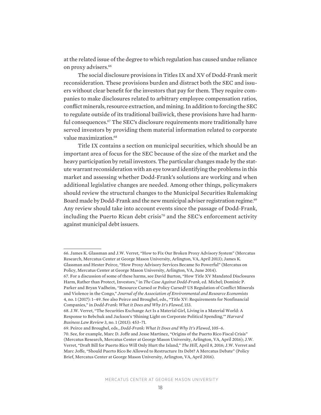at the related issue of the degree to which regulation has caused undue reliance on proxy advisers.<sup>66</sup>

The social disclosure provisions in Titles IX and XV of Dodd-Frank merit reconsideration. These provisions burden and distract both the SEC and issuers without clear benefit for the investors that pay for them. They require companies to make disclosures related to arbitrary employee compensation ratios, conflict minerals, resource extraction, and mining. In addition to forcing the SEC to regulate outside of its traditional bailiwick, these provisions have had harmful consequences.<sup>67</sup> The SEC's disclosure requirements more traditionally have served investors by providing them material information related to corporate value maximization.<sup>68</sup>

Title IX contains a section on municipal securities, which should be an important area of focus for the SEC because of the size of the market and the heavy participation by retail investors. The particular changes made by the statute warrant reconsideration with an eye toward identifying the problems in this market and assessing whether Dodd-Frank's solutions are working and when additional legislative changes are needed. Among other things, policymakers should review the structural changes to the Municipal Securities Rulemaking Board made by Dodd-Frank and the new municipal adviser registration regime.<sup>69</sup> Any review should take into account events since the passage of Dodd-Frank, including the Puerto Rican debt crisis<sup>70</sup> and the SEC's enforcement activity against municipal debt issuers.

<sup>66.</sup> James K. Glassman and J.W. Verret, "How to Fix Our Broken Proxy Advisory System" (Mercatus Research, Mercatus Center at George Mason University, Arlington, VA, April 2013); James K. Glassman and Hester Peirce, "How Proxy Advisory Services Became So Powerful" (Mercatus on Policy, Mercatus Center at George Mason University, Arlington, VA, June 2014).

<sup>67.</sup> For a discussion of some of these harms, see David Burton, "How Title XV Mandated Disclosures Harm, Rather than Protect, Investors," in *The Case Against Dodd-Frank*, ed. Michel; Dominic P. Parker and Bryan Vadheim, "Resource Cursed or Policy Cursed? US Regulation of Conflict Minerals and Violence in the Congo," *Journal of the Association of Environmental and Resource Economists* 4, no. 1 (2017): 1–49. See also Peirce and Broughel, eds., "Title XV: Requirements for Nonfinancial Companies," in *Dodd-Frank: What it Does and Why It's Flawed*, 153.

<sup>68.</sup> J.W. Verret, "The Securities Exchange Act Is a Material Girl, Living in a Material World: A Response to Bebchuk and Jackson's 'Shining Light on Corporate Political Spending,'" *Harvard Business Law Review* 3, no. 1 (2013): 453–71.

<sup>69.</sup> Peirce and Broughel, eds., *Dodd-Frank: What It Does and Why It's Flawed*, 105–6. 70. See, for example, Marc D. Joffe and Jesse Martinez, "Origins of the Puerto Rico Fiscal Crisis" (Mercatus Research, Mercatus Center at George Mason University, Arlington, VA, April 2016); J.W. Verret, "Draft Bill for Puerto Rico Will Only Hurt the Island," *The Hill*, April 8, 2016; J.W. Verret and Marc Joffe, "Should Puerto Rico Be Allowed to Restructure Its Debt? A Mercatus Debate" (Policy Brief, Mercatus Center at George Mason University, Arlington, VA, April 2016).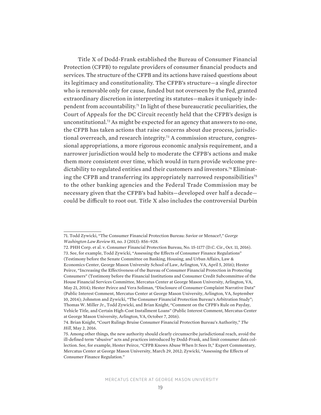Title X of Dodd-Frank established the Bureau of Consumer Financial Protection (CFPB) to regulate providers of consumer financial products and services. The structure of the CFPB and its actions have raised questions about its legitimacy and constitutionality. The CFPB's structure—a single director who is removable only for cause, funded but not overseen by the Fed, granted extraordinary discretion in interpreting its statutes—makes it uniquely independent from accountability.71 In light of these bureaucratic peculiarities, the Court of Appeals for the DC Circuit recently held that the CFPB's design is unconstitutional.72 As might be expected for an agency that answers to no one, the CFPB has taken actions that raise concerns about due process, jurisdictional overreach, and research integrity.73 A commission structure, congressional appropriations, a more rigorous economic analysis requirement, and a narrower jurisdiction would help to moderate the CFPB's actions and make them more consistent over time, which would in turn provide welcome predictability to regulated entities and their customers and investors.<sup>74</sup> Eliminating the CFPB and transferring its appropriately narrowed responsibilities<sup>75</sup> to the other banking agencies and the Federal Trade Commission may be necessary given that the CFPB's bad habits—developed over half a decade could be difficult to root out. Title X also includes the controversial Durbin

<sup>71.</sup> Todd Zywicki, "The Consumer Financial Protection Bureau: Savior or Menace?," *George Washington Law Review* 81, no. 3 (2013): 856–928.

<sup>72.</sup> PHH Corp. et al. v. Consumer Financial Protection Bureau, No. 15-1177 (D.C. Cir., Oct. 11, 2016). 73. See, for example, Todd Zywicki, "Assessing the Effects of Consumer Finance Regulations" (Testimony before the Senate Committee on Banking, Housing, and Urban Affairs, Law & Economics Center, George Mason University School of Law, Arlington, VA, April 5, 2016); Hester Peirce, "Increasing the Effectiveness of the Bureau of Consumer Financial Protection in Protecting Consumers" (Testimony before the Financial Institutions and Consumer Credit Subcommittee of the House Financial Services Committee, Mercatus Center at George Mason University, Arlington, VA, May 21, 2014); Hester Peirce and Vera Soliman, "Disclosure of Consumer Complaint Narrative Data" (Public Interest Comment, Mercatus Center at George Mason University, Arlington, VA, September 10, 2014); Johnston and Zywicki, "The Consumer Financial Protection Bureau's Arbitration Study"; Thomas W. Miller Jr., Todd Zywicki, and Brian Knight, "Comment on the CFPB's Rule on Payday, Vehicle Title, and Certain High-Cost Installment Loans" (Public Interest Comment, Mercatus Center at George Mason University, Arlington, VA, October 7, 2016).

<sup>74.</sup> Brian Knight, "Court Rulings Bruise Consumer Financial Protection Bureau's Authority," *The Hill*, May 2, 2016.

<sup>75.</sup> Among other things, the new authority should clearly circumscribe jurisdictional reach, avoid the ill-defined term "abusive" acts and practices introduced by Dodd-Frank, and limit consumer data collection. See, for example, Hester Peirce, "CFPB Knows Abuse When It Sees It," Expert Commentary, Mercatus Center at George Mason University, March 29, 2012; Zywicki, "Assessing the Effects of Consumer Finance Regulation."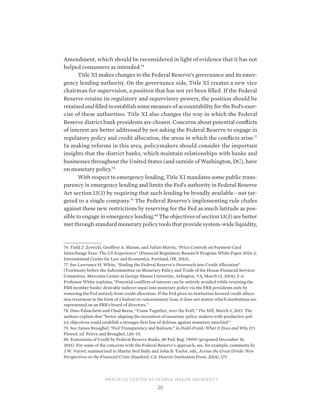Amendment, which should be reconsidered in light of evidence that it has not helped consumers as intended.76

Title XI makes changes to the Federal Reserve's governance and its emergency lending authority. On the governance side, Title XI creates a new vice chairman for supervision, a position that has not yet been filled. If the Federal Reserve retains its regulatory and supervisory powers, the position should be retained and filled to establish some measure of accountability for the Fed's exercise of these authorities. Title XI also changes the way in which the Federal Reserve district bank presidents are chosen. Concerns about potential conflicts of interest are better addressed by not asking the Federal Reserve to engage in regulatory policy and credit allocation, the areas in which the conflicts arise.<sup>77</sup> In making reforms in this area, policymakers should consider the important insights that the district banks, which maintain relationships with banks and businesses throughout the United States (and outside of Washington, DC), have on monetary policy.78

With respect to emergency lending, Title XI mandates some public transparency in emergency lending and limits the Fed's authority in Federal Reserve Act section 13(3) by requiring that such lending be broadly available—not targeted to a single company.79 The Federal Reserve's implementing rule chafes against these new restrictions by reserving for the Fed as much latitude as possible to engage in emergency lending.<sup>80</sup> The objectives of section 13(3) are better met through standard monetary policy tools that provide system-wide liquidity,

<sup>76.</sup> Todd J. Zywicki, Geoffrey A. Manne, and Julian Morris, "Price Controls on Payment Card Interchange Fees: The US Experience" (Financial Regulatory Research Program White Paper 2014-2, International Center for Law and Economics, Portland, OR, 2014).

<sup>77.</sup> See Lawrence H. White, "Ending the Federal Reserve's Overreach into Credit Allocation" (Testimony before the Subcommittee on Monetary Policy and Trade of the House Financial Services Committee, Mercatus Center at George Mason University, Arlington, VA, March 12, 2014), 5–6. Professor White explains, "Potential conflicts of interest can be entirely avoided while retaining the FRB member banks' desirable indirect input into monetary policy via the FRB presidents only by removing the Fed entirely from credit allocation. If the Fed gives no institution favored credit allocation treatment in the form of a bailout or concessionary loan, it does not matter which institutions are represented on an FRB's board of directors."

<sup>78.</sup> Dino Falaschetti and Chad Reese, "Come Together, over the Fed?," *The Hill*, March 3, 2015. The authors explain that "better aligning the incentives of monetary policy-makers with productive policy objectives could establish a stronger first line of defense against monetary mischief."

<sup>79.</sup> See James Broughel, "Fed Transparency and Bailouts," in *Dodd-Frank: What It Does and Why It's Flawed*, ed. Peirce and Broughel, 120–33.

<sup>80.</sup> Extensions of Credit by Federal Reserve Banks, 80 Fed. Reg. 78959 (proposed December 18, 2015). For some of the concerns with the Federal Reserve's approach, see, for example, comments by J.W. Verret, summarized in Martin Neil Baily and John B. Taylor, eds., *Across the Great Divide: New Perspectives on the Financial Crisis* (Stanford, CA: Hoover Institution Press, 2014), 371.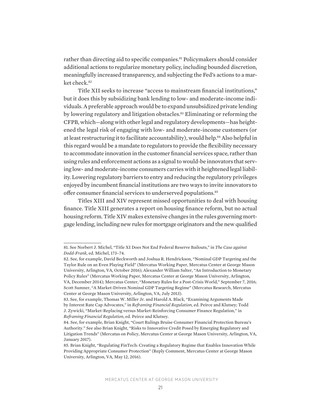rather than directing aid to specific companies.<sup>81</sup> Policymakers should consider additional actions to regularize monetary policy, including bounded discretion, meaningfully increased transparency, and subjecting the Fed's actions to a market check.<sup>82</sup>

Title XII seeks to increase "access to mainstream financial institutions," but it does this by subsidizing bank lending to low- and moderate-income individuals. A preferable approach would be to expand unsubsidized private lending by lowering regulatory and litigation obstacles.83 Eliminating or reforming the CFPB, which—along with other legal and regulatory developments—has heightened the legal risk of engaging with low- and moderate-income customers (or at least restructuring it to facilitate accountability), would help.<sup>84</sup> Also helpful in this regard would be a mandate to regulators to provide the flexibility necessary to accommodate innovation in the customer financial services space, rather than using rules and enforcement actions as a signal to would-be innovators that serving low- and moderate-income consumers carries with it heightened legal liability. Lowering regulatory barriers to entry and reducing the regulatory privileges enjoyed by incumbent financial institutions are two ways to invite innovators to offer consumer financial services to underserved populations.<sup>85</sup>

Titles XIII and XIV represent missed opportunities to deal with housing finance. Title XIII generates a report on housing finance reform, but no actual housing reform. Title XIV makes extensive changes in the rules governing mortgage lending, including new rules for mortgage originators and the new qualified

<sup>81.</sup> See Norbert J. Michel, "Title XI Does Not End Federal Reserve Bailouts," in *The Case against Dodd-Frank*, ed. Michel, 173–74.

<sup>82.</sup> See, for example, David Beckworth and Joshua R. Hendrickson, "Nominal GDP Targeting and the Taylor Rule on an Even Playing Field" (Mercatus Working Paper, Mercatus Center at George Mason University, Arlington, VA, October 2016); Alexander William Salter, "An Introduction to Monetary Policy Rules" (Mercatus Working Paper, Mercatus Center at George Mason University, Arlington, VA, December 2014); Mercatus Center, "Monetary Rules for a Post-Crisis World," September 7, 2016; Scott Sumner, "A Market-Driven Nominal GDP Targeting Regime" (Mercatus Research, Mercatus Center at George Mason University, Arlington, VA, July 2013).

<sup>83.</sup> See, for example, Thomas W. Miller Jr. and Harold A. Black, "Examining Arguments Made by Interest Rate Cap Advocates," in *Reframing Financial Regulation*, ed. Peirce and Klutsey; Todd J. Zywicki, "Market-Replacing versus Market-Reinforcing Consumer Finance Regulation," in *Reframing Financial Regulation*, ed. Peirce and Klutsey.

<sup>84.</sup> See, for example, Brian Knight, "Court Rulings Bruise Consumer Financial Protection Bureau's Authority." See also Brian Knight, "Risks to Innovative Credit Posed by Emerging Regulatory and Litigation Trends" (Mercatus on Policy, Mercatus Center at George Mason University, Arlington, VA, January 2017).

<sup>85.</sup> Brian Knight, "Regulating FinTech: Creating a Regulatory Regime that Enables Innovation While Providing Appropriate Consumer Protection" (Reply Comment, Mercatus Center at George Mason University, Arlington, VA, May 12, 2016).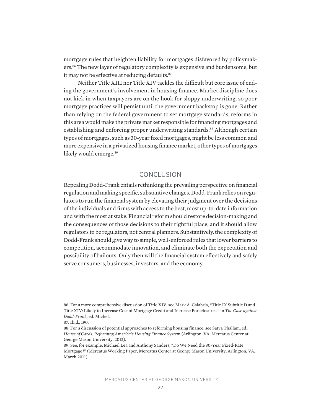mortgage rules that heighten liability for mortgages disfavored by policymakers.86 The new layer of regulatory complexity is expensive and burdensome, but it may not be effective at reducing defaults.<sup>87</sup>

Neither Title XIII nor Title XIV tackles the difficult but core issue of ending the government's involvement in housing finance. Market discipline does not kick in when taxpayers are on the hook for sloppy underwriting, so poor mortgage practices will persist until the government backstop is gone. Rather than relying on the federal government to set mortgage standards, reforms in this area would make the private market responsible for financing mortgages and establishing and enforcing proper underwriting standards.<sup>88</sup> Although certain types of mortgages, such as 30-year fixed mortgages, might be less common and more expensive in a privatized housing finance market, other types of mortgages likely would emerge.<sup>89</sup>

# CONCLUSION

Repealing Dodd-Frank entails rethinking the prevailing perspective on financial regulation and making specific, substantive changes. Dodd-Frank relies on regulators to run the financial system by elevating their judgment over the decisions of the individuals and firms with access to the best, most up-to-date information and with the most at stake. Financial reform should restore decision-making and the consequences of those decisions to their rightful place, and it should allow regulators to be regulators, not central planners. Substantively, the complexity of Dodd-Frank should give way to simple, well-enforced rules that lower barriers to competition, accommodate innovation, and eliminate both the expectation and possibility of bailouts. Only then will the financial system effectively and safely serve consumers, businesses, investors, and the economy.

<sup>86.</sup> For a more comprehensive discussion of Title XIV, see Mark A. Calabria, "Title IX Subtitle D and Title XIV: Likely to Increase Cost of Mortgage Credit and Increase Foreclosures," in *The Case against Dodd-Frank*, ed. Michel.

<sup>87.</sup> Ibid., 190.

<sup>88.</sup> For a discussion of potential approaches to reforming housing finance, see Satya Thallam, ed., *House of Cards: Reforming America's Housing Finance System* (Arlington, VA: Mercatus Center at George Mason University, 2012).

<sup>89.</sup> See, for example, Michael Lea and Anthony Sanders, "Do We Need the 30-Year Fixed-Rate Mortgage?" (Mercatus Working Paper, Mercatus Center at George Mason University, Arlington, VA, March 2011).